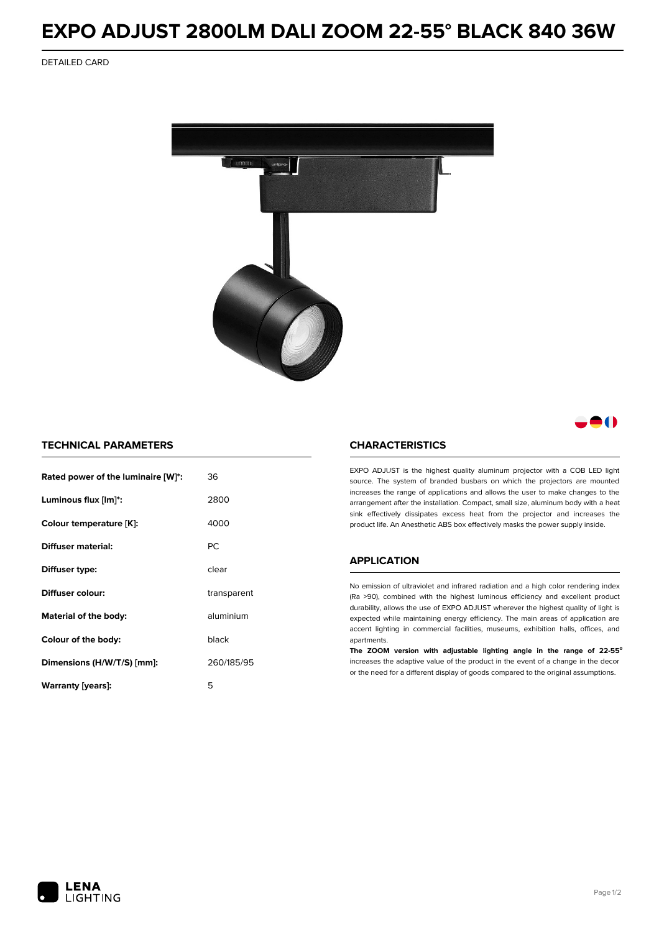# **EXPO ADJUST 2800LM DALI ZOOM 22-55° BLACK 840 36W**

DETAILED CARD



# 80

### **TECHNICAL PARAMETERS**

| Rated power of the luminaire [W]*: | 36          |
|------------------------------------|-------------|
| Luminous flux [lm]*:               | 2800        |
| Colour temperature [K]:            | 4000        |
| <b>Diffuser material:</b>          | PC.         |
| Diffuser type:                     | clear       |
| Diffuser colour:                   | transparent |
| aluminium<br>Material of the body: |             |
| black<br>Colour of the body:       |             |
| Dimensions (H/W/T/S) [mm]:         | 260/185/95  |
| Warranty (years):                  | 5           |

#### **CHARACTERISTICS**

EXPO ADJUST is the highest quality aluminum projector with a COB LED light source. The system of branded busbars on which the projectors are mounted increases the range of applications and allows the user to make changes to the arrangement after the installation. Compact, small size, aluminum body with a heat sink effectively dissipates excess heat from the projector and increases the product life. An Anesthetic ABS box effectively masks the power supply inside.

## **APPLICATION**

No emission of ultraviolet and infrared radiation and a high color rendering index (Ra >90), combined with the highest luminous efficiency and excellent product durability, allows the use of EXPO ADJUST wherever the highest quality of light is expected while maintaining energy efficiency. The main areas of application are accent lighting in commercial facilities, museums, exhibition halls, offices, and apartments.

**The ZOOM version with adjustable lighting angle in the range of 22-55⁰** increases the adaptive value of the product in the event of a change in the decor or the need for a different display of goods compared to the original assumptions.